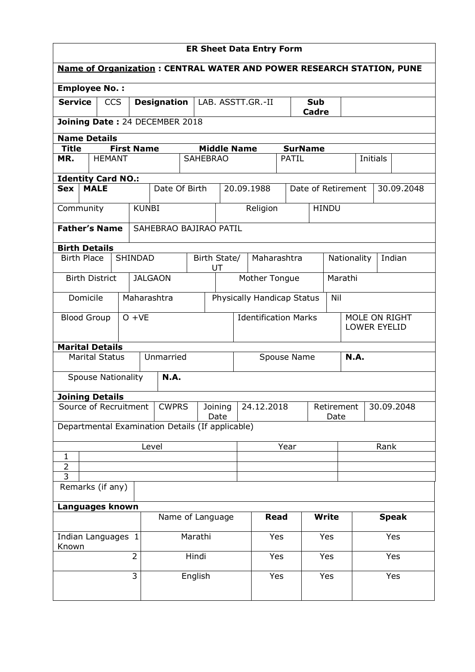| <b>ER Sheet Data Entry Form</b>                                             |                        |                   |                |                                                  |                                                              |                                   |                                                 |                                  |              |                    |              |                       |                 |            |  |
|-----------------------------------------------------------------------------|------------------------|-------------------|----------------|--------------------------------------------------|--------------------------------------------------------------|-----------------------------------|-------------------------------------------------|----------------------------------|--------------|--------------------|--------------|-----------------------|-----------------|------------|--|
| <b>Name of Organization: CENTRAL WATER AND POWER RESEARCH STATION, PUNE</b> |                        |                   |                |                                                  |                                                              |                                   |                                                 |                                  |              |                    |              |                       |                 |            |  |
| <b>Employee No.:</b>                                                        |                        |                   |                |                                                  |                                                              |                                   |                                                 |                                  |              |                    |              |                       |                 |            |  |
| <b>Service</b>                                                              |                        | <b>CCS</b>        |                | <b>Designation</b>                               |                                                              |                                   | LAB. ASSTT.GR.-II<br><b>Sub</b><br><b>Cadre</b> |                                  |              |                    |              |                       |                 |            |  |
|                                                                             |                        |                   |                | Joining Date: 24 DECEMBER 2018                   |                                                              |                                   |                                                 |                                  |              |                    |              |                       |                 |            |  |
|                                                                             | <b>Name Details</b>    |                   |                |                                                  |                                                              |                                   |                                                 |                                  |              |                    |              |                       |                 |            |  |
| <b>Title</b>                                                                |                        | <b>First Name</b> |                |                                                  |                                                              | <b>Middle Name</b>                |                                                 |                                  |              | <b>SurName</b>     |              |                       |                 |            |  |
| MR.                                                                         | <b>HEMANT</b>          |                   |                |                                                  | <b>SAHEBRAO</b>                                              |                                   |                                                 |                                  | PATIL        |                    |              |                       | <b>Initials</b> |            |  |
| <b>Identity Card NO.:</b>                                                   |                        |                   |                |                                                  |                                                              |                                   |                                                 |                                  |              |                    |              |                       |                 |            |  |
| <b>Sex</b>                                                                  | <b>MALE</b>            |                   |                | Date Of Birth                                    |                                                              |                                   |                                                 | 20.09.1988                       |              | Date of Retirement |              |                       |                 | 30.09.2048 |  |
|                                                                             | Community              |                   | <b>KUNBI</b>   |                                                  |                                                              |                                   |                                                 | Religion                         |              | <b>HINDU</b>       |              |                       |                 |            |  |
|                                                                             | <b>Father's Name</b>   |                   |                | SAHEBRAO BAJIRAO PATIL                           |                                                              |                                   |                                                 |                                  |              |                    |              |                       |                 |            |  |
|                                                                             | <b>Birth Details</b>   |                   |                |                                                  |                                                              |                                   |                                                 |                                  |              |                    |              |                       |                 |            |  |
|                                                                             | <b>Birth Place</b>     |                   | <b>SHINDAD</b> |                                                  |                                                              | Birth State/<br>UT                |                                                 | Maharashtra                      |              |                    |              | Indian<br>Nationality |                 |            |  |
| <b>JALGAON</b><br><b>Birth District</b>                                     |                        |                   |                |                                                  |                                                              |                                   | Mother Tongue                                   |                                  | Marathi      |                    |              |                       |                 |            |  |
| Domicile<br>Maharashtra                                                     |                        |                   |                |                                                  |                                                              | Physically Handicap Status<br>Nil |                                                 |                                  |              |                    |              |                       |                 |            |  |
| <b>Blood Group</b><br>$O + VE$                                              |                        |                   |                |                                                  | <b>Identification Marks</b><br>MOLE ON RIGHT<br>LOWER EYELID |                                   |                                                 |                                  |              |                    |              |                       |                 |            |  |
|                                                                             | <b>Marital Details</b> |                   |                |                                                  |                                                              |                                   |                                                 |                                  |              |                    |              |                       |                 |            |  |
|                                                                             | <b>Marital Status</b>  |                   |                | Unmarried                                        |                                                              |                                   |                                                 |                                  | Spouse Name  |                    |              | <b>N.A.</b>           |                 |            |  |
|                                                                             | Spouse Nationality     |                   |                | <b>N.A.</b>                                      |                                                              |                                   |                                                 |                                  |              |                    |              |                       |                 |            |  |
|                                                                             | <b>Joining Details</b> |                   |                |                                                  |                                                              |                                   |                                                 |                                  |              |                    |              |                       |                 |            |  |
|                                                                             | Source of Recruitment  |                   |                | <b>CWPRS</b>                                     |                                                              | Joining<br>Date                   |                                                 | 24.12.2018<br>Retirement<br>Date |              |                    |              |                       |                 | 30.09.2048 |  |
|                                                                             |                        |                   |                | Departmental Examination Details (If applicable) |                                                              |                                   |                                                 |                                  |              |                    |              |                       |                 |            |  |
|                                                                             |                        |                   |                | Level                                            |                                                              |                                   |                                                 | Year                             |              |                    |              |                       | Rank            |            |  |
| $\mathbf{1}$                                                                |                        |                   |                |                                                  |                                                              |                                   |                                                 |                                  |              |                    |              |                       |                 |            |  |
| $\overline{3}$                                                              | $\overline{2}$         |                   |                |                                                  |                                                              |                                   |                                                 |                                  |              |                    |              |                       |                 |            |  |
| Remarks (if any)                                                            |                        |                   |                |                                                  |                                                              |                                   |                                                 |                                  |              |                    |              |                       |                 |            |  |
| Languages known                                                             |                        |                   |                |                                                  |                                                              |                                   |                                                 |                                  |              |                    |              |                       |                 |            |  |
| Name of Language                                                            |                        |                   |                |                                                  |                                                              | <b>Read</b>                       |                                                 |                                  | <b>Write</b> |                    | <b>Speak</b> |                       |                 |            |  |
| Known                                                                       | Indian Languages 1     |                   |                |                                                  | Marathi                                                      |                                   |                                                 | Yes                              |              | Yes                |              |                       | Yes             |            |  |
|                                                                             |                        |                   | $\overline{2}$ |                                                  | Hindi                                                        |                                   |                                                 | Yes                              |              |                    | Yes          |                       |                 | Yes        |  |
|                                                                             |                        |                   | 3              |                                                  | English                                                      |                                   |                                                 | Yes                              |              |                    | Yes          |                       | Yes             |            |  |
|                                                                             |                        |                   |                |                                                  |                                                              |                                   |                                                 |                                  |              |                    |              |                       |                 |            |  |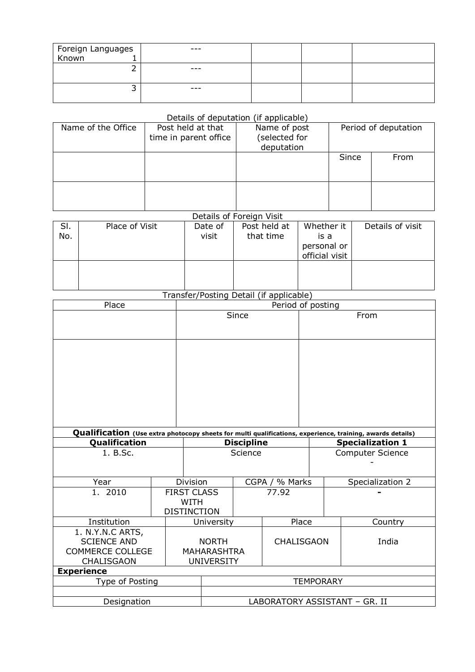| Foreign Languages<br>Known 1 | $---$   |  |  |
|------------------------------|---------|--|--|
|                              |         |  |  |
|                              | $-- -$  |  |  |
|                              |         |  |  |
|                              | $- - -$ |  |  |
|                              |         |  |  |

## Details of deputation (if applicable)

| Name of the Office | Post held at that<br>time in parent office | Name of post<br>(selected for<br>deputation | Period of deputation |      |  |  |
|--------------------|--------------------------------------------|---------------------------------------------|----------------------|------|--|--|
|                    |                                            |                                             | Since                | From |  |  |
|                    |                                            |                                             |                      |      |  |  |

## Details of Foreign Visit

| SI. | Place of Visit | Date of | Post held at | Whether it     | Details of visit |
|-----|----------------|---------|--------------|----------------|------------------|
| No. |                | visit   | that time    | is a           |                  |
|     |                |         |              | personal or    |                  |
|     |                |         |              | official visit |                  |
|     |                |         |              |                |                  |
|     |                |         |              |                |                  |
|     |                |         |              |                |                  |

## Transfer/Posting Detail (if applicable)

| Place                   |                   | Period of posting             |                   |         |                                                                                                                                      |                  |  |  |  |
|-------------------------|-------------------|-------------------------------|-------------------|---------|--------------------------------------------------------------------------------------------------------------------------------------|------------------|--|--|--|
|                         |                   |                               | Since             |         | From                                                                                                                                 |                  |  |  |  |
|                         |                   |                               |                   |         |                                                                                                                                      |                  |  |  |  |
|                         |                   |                               |                   |         |                                                                                                                                      |                  |  |  |  |
|                         |                   |                               |                   |         |                                                                                                                                      |                  |  |  |  |
|                         |                   |                               |                   |         |                                                                                                                                      |                  |  |  |  |
|                         |                   |                               |                   |         |                                                                                                                                      |                  |  |  |  |
|                         |                   |                               |                   |         |                                                                                                                                      |                  |  |  |  |
|                         |                   |                               |                   |         |                                                                                                                                      |                  |  |  |  |
|                         |                   |                               |                   |         |                                                                                                                                      |                  |  |  |  |
| Qualification           |                   |                               | <b>Discipline</b> |         | Qualification (Use extra photocopy sheets for multi qualifications, experience, training, awards details)<br><b>Specialization 1</b> |                  |  |  |  |
| 1. B.Sc.                |                   | Science                       |                   |         | <b>Computer Science</b>                                                                                                              |                  |  |  |  |
|                         |                   |                               |                   |         |                                                                                                                                      |                  |  |  |  |
|                         |                   |                               |                   |         |                                                                                                                                      |                  |  |  |  |
| Year                    |                   | Division                      | CGPA /            | % Marks |                                                                                                                                      | Specialization 2 |  |  |  |
| 1. 2010                 |                   | <b>FIRST CLASS</b>            |                   | 77.92   |                                                                                                                                      |                  |  |  |  |
|                         |                   | <b>WITH</b>                   |                   |         |                                                                                                                                      |                  |  |  |  |
|                         |                   | <b>DISTINCTION</b>            |                   |         |                                                                                                                                      |                  |  |  |  |
| Institution             |                   | University                    |                   |         | Place                                                                                                                                | Country          |  |  |  |
| 1. N.Y.N.C ARTS,        |                   |                               |                   |         |                                                                                                                                      |                  |  |  |  |
| <b>SCIENCE AND</b>      |                   | <b>NORTH</b>                  |                   |         | <b>CHALISGAON</b>                                                                                                                    | India            |  |  |  |
| <b>COMMERCE COLLEGE</b> |                   | <b>MAHARASHTRA</b>            |                   |         |                                                                                                                                      |                  |  |  |  |
| CHALISGAON              | <b>UNIVERSITY</b> |                               |                   |         |                                                                                                                                      |                  |  |  |  |
| <b>Experience</b>       |                   |                               |                   |         |                                                                                                                                      |                  |  |  |  |
| Type of Posting         |                   | <b>TEMPORARY</b>              |                   |         |                                                                                                                                      |                  |  |  |  |
|                         |                   |                               |                   |         |                                                                                                                                      |                  |  |  |  |
| Designation             |                   | LABORATORY ASSISTANT - GR. II |                   |         |                                                                                                                                      |                  |  |  |  |